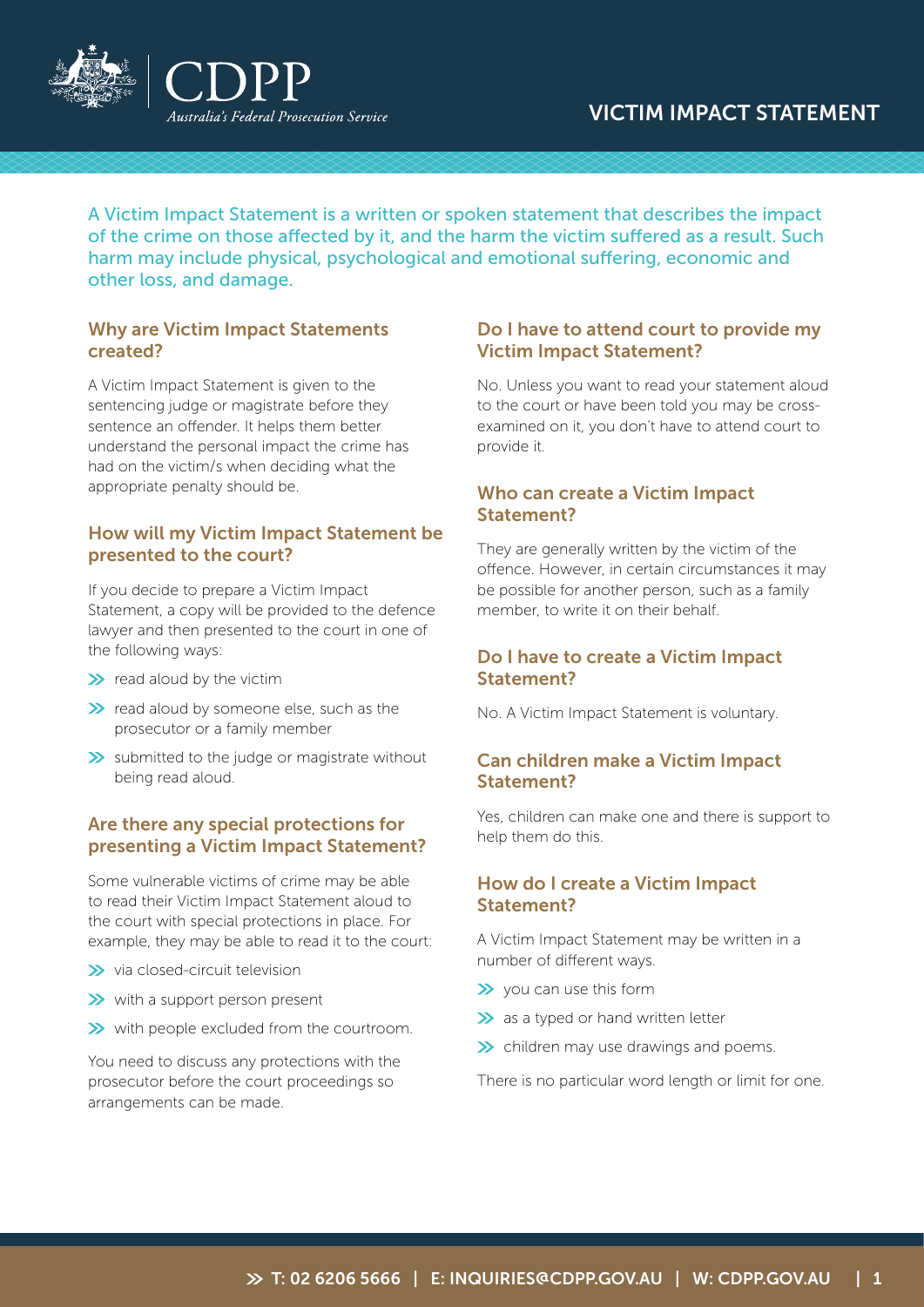

A Victim Impact Statement is a written or spoken statement that describes the impact of the crime on those affected by it, and the harm the victim suffered as a result. Such harm may include physical, psychological and emotional suffering, economic and other loss, and damage.

## Why are Victim Impact Statements created?

A Victim Impact Statement is given to the sentencing judge or magistrate before they sentence an offender. It helps them better understand the personal impact the crime has had on the victim/s when deciding what the appropriate penalty should be.

# How will my Victim Impact Statement be presented to the court?

If you decide to prepare a Victim Impact Statement, a copy will be provided to the defence lawyer and then presented to the court in one of the following ways:

- $\blacktriangleright$  read aloud by the victim
- $\blacktriangleright$  read aloud by someone else, such as the prosecutor or a family member
- $\sum$  submitted to the judge or magistrate without being read aloud.

# Are there any special protections for presenting a Victim Impact Statement?

Some vulnerable victims of crime may be able to read their Victim Impact Statement aloud to the court with special protections in place. For example, they may be able to read it to the court:

- $\sum$  via closed-circuit television
- $\gg$  with a support person present
- $\gg$  with people excluded from the courtroom.

You need to discuss any protections with the prosecutor before the court proceedings so arrangements can be made.

## Do I have to attend court to provide my Victim Impact Statement?

No. Unless you want to read your statement aloud to the court or have been told you may be crossexamined on it, you don't have to attend court to provide it.

## Who can create a Victim Impact Statement?

They are generally written by the victim of the offence. However, in certain circumstances it may be possible for another person, such as a family member, to write it on their behalf.

# Do I have to create a Victim Impact Statement?

No. A Victim Impact Statement is voluntary.

## Can children make a Victim Impact Statement?

Yes, children can make one and there is support to help them do this.

## How do I create a Victim Impact Statement?

A Victim Impact Statement may be written in a number of different ways.

- X you can use this form
- $\gg$  as a typed or hand written letter
- $\gg$  children may use drawings and poems.

There is no particular word length or limit for one.